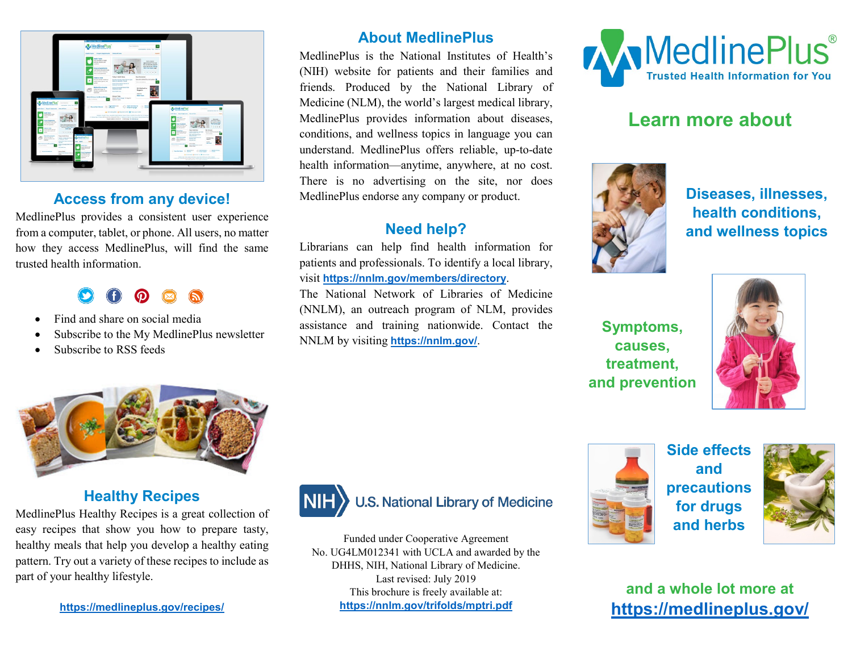

### **Access from any device!**

MedlinePlus provides a consistent user experience from a computer, tablet, or phone. All users, no matter how they access MedlinePlus, will find the same trusted health information.

- Find and share on social media
- Subscribe to the My MedlinePlus newsletter
- Subscribe to RSS feeds

# **About MedlinePlus**

MedlinePlus is the National Institutes of Health's (NIH) website for patients and their families and friends. Produced by the National Library of Medicine (NLM), the world's largest medical library, MedlinePlus provides information about diseases, conditions, and wellness topics in language you can understand. MedlinePlus offers reliable, up-to-date health information—anytime, anywhere, at no cost. There is no advertising on the site, nor does MedlinePlus endorse any company or product.

# **Need help?**

Librarians can help find health information for patients and professionals. To identify a local library, visit **<https://nnlm.gov/members/directory>**.

The National Network of Libraries of Medicine (NNLM), an outreach program of NLM, provides assistance and training nationwide. Contact the NNLM by visiting **<https://nnlm.gov/>**.



# **Learn more about**



**Diseases, illnesses, health conditions, and wellness topics**

**Symptoms, causes, treatment, and prevention**





# **Healthy Recipes**

MedlinePlus Healthy Recipes is a great collection of easy recipes that show you how to prepare tasty, healthy meals that help you develop a healthy eating pattern. Try out a variety of these recipes to include as part of your [healthy lifestyle.](https://medlineplus.gov/healthyliving.html)



# **U.S. National Library of Medicine**

Funded under Cooperative Agreement No. UG4LM012341 with UCLA and awarded by the DHHS, NIH, National Library of Medicine. Last revised: July 2019 This brochure is freely available at: **<https://nnlm.gov/trifolds/mptri.pdf>**



**Side effects and precautions for drugs and herbs**



**and a whole lot more at <https://medlineplus.gov/>**